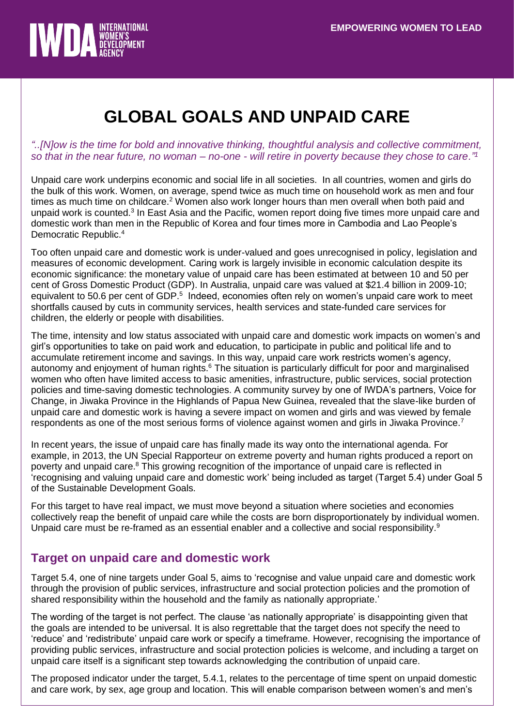

# **GLOBAL GOALS AND UNPAID CARE**

## *"..[N]ow is the time for bold and innovative thinking, thoughtful analysis and collective commitment, so that in the near future, no woman – no-one - will retire in poverty because they chose to care."<sup>1</sup>*

Unpaid care work underpins economic and social life in all societies. In all countries, women and girls do the bulk of this work. Women, on average, spend twice as much time on household work as men and four times as much time on childcare.<sup>2</sup> Women also work longer hours than men overall when both paid and unpaid work is counted.<sup>3</sup> In East Asia and the Pacific, women report doing five times more unpaid care and domestic work than men in the Republic of Korea and four times more in Cambodia and Lao People's Democratic Republic.<sup>4</sup>

Too often unpaid care and domestic work is under-valued and goes unrecognised in policy, legislation and measures of economic development. Caring work is largely invisible in economic calculation despite its economic significance: the monetary value of unpaid care has been estimated at between 10 and 50 per cent of Gross Domestic Product (GDP). In Australia, unpaid care was valued at \$21.4 billion in 2009-10; equivalent to 50.6 per cent of GDP.<sup>5</sup> Indeed, economies often rely on women's unpaid care work to meet shortfalls caused by cuts in community services, health services and state-funded care services for children, the elderly or people with disabilities.

The time, intensity and low status associated with unpaid care and domestic work impacts on women's and girl's opportunities to take on paid work and education, to participate in public and political life and to accumulate retirement income and savings. In this way, unpaid care work restricts women's agency, autonomy and enjoyment of human rights.<sup>6</sup> The situation is particularly difficult for poor and marginalised women who often have limited access to basic amenities, infrastructure, public services, social protection policies and time-saving domestic technologies. A community survey by one of IWDA's partners, Voice for Change, in Jiwaka Province in the Highlands of Papua New Guinea, revealed that the slave-like burden of unpaid care and domestic work is having a severe impact on women and girls and was viewed by female respondents as one of the most serious forms of violence against women and girls in Jiwaka Province.<sup>7</sup>

In recent years, the issue of unpaid care has finally made its way onto the international agenda. For example, in 2013, the UN Special Rapporteur on extreme poverty and human rights produced a report on poverty and unpaid care.<sup>8</sup> This growing recognition of the importance of unpaid care is reflected in 'recognising and valuing unpaid care and domestic work' being included as target (Target 5.4) under Goal 5 of the Sustainable Development Goals.

For this target to have real impact, we must move beyond a situation where societies and economies collectively reap the benefit of unpaid care while the costs are born disproportionately by individual women. Unpaid care must be re-framed as an essential enabler and a collective and social responsibility.<sup>9</sup>

## **Target on unpaid care and domestic work**

Target 5.4, one of nine targets under Goal 5, aims to 'recognise and value unpaid care and domestic work through the provision of public services, infrastructure and social protection policies and the promotion of shared responsibility within the household and the family as nationally appropriate.'

The wording of the target is not perfect. The clause 'as nationally appropriate' is disappointing given that the goals are intended to be universal. It is also regrettable that the target does not specify the need to 'reduce' and 'redistribute' unpaid care work or specify a timeframe. However, recognising the importance of providing public services, infrastructure and social protection policies is welcome, and including a target on unpaid care itself is a significant step towards acknowledging the contribution of unpaid care.

The proposed indicator under the target, 5.4.1, relates to the percentage of time spent on unpaid domestic and care work, by sex, age group and location. This will enable comparison between women's and men's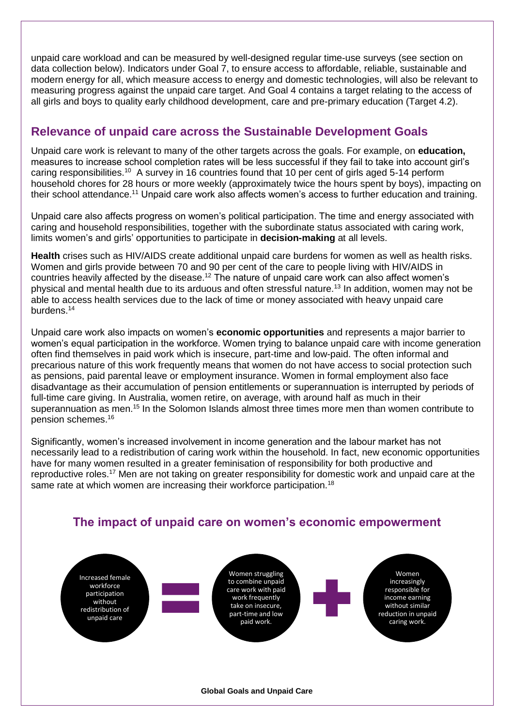unpaid care workload and can be measured by well-designed regular time-use surveys (see section on data collection below). Indicators under Goal 7, to ensure access to affordable, reliable, sustainable and modern energy for all, which measure access to energy and domestic technologies, will also be relevant to measuring progress against the unpaid care target. And Goal 4 contains a target relating to the access of all girls and boys to quality early childhood development, care and pre-primary education (Target 4.2).

# **Relevance of unpaid care across the Sustainable Development Goals**

Unpaid care work is relevant to many of the other targets across the goals. For example, on **education,** measures to increase school completion rates will be less successful if they fail to take into account girl's caring responsibilities.<sup>10</sup> A survey in 16 countries found that 10 per cent of girls aged 5-14 perform household chores for 28 hours or more weekly (approximately twice the hours spent by boys), impacting on their school attendance.<sup>11</sup> Unpaid care work also affects women's access to further education and training.

Unpaid care also affects progress on women's political participation. The time and energy associated with caring and household responsibilities, together with the subordinate status associated with caring work, limits women's and girls' opportunities to participate in **decision-making** at all levels.

**Health** crises such as HIV/AIDS create additional unpaid care burdens for women as well as health risks. Women and girls provide between 70 and 90 per cent of the care to people living with HIV/AIDS in countries heavily affected by the disease.<sup>12</sup> The nature of unpaid care work can also affect women's physical and mental health due to its arduous and often stressful nature.<sup>13</sup> In addition, women may not be able to access health services due to the lack of time or money associated with heavy unpaid care burdens.<sup>14</sup>

Unpaid care work also impacts on women's **economic opportunities** and represents a major barrier to women's equal participation in the workforce. Women trying to balance unpaid care with income generation often find themselves in paid work which is insecure, part-time and low-paid. The often informal and precarious nature of this work frequently means that women do not have access to social protection such as pensions, paid parental leave or employment insurance. Women in formal employment also face disadvantage as their accumulation of pension entitlements or superannuation is interrupted by periods of full-time care giving. In Australia, women retire, on average, with around half as much in their superannuation as men.<sup>15</sup> In the Solomon Islands almost three times more men than women contribute to pension schemes. 16

Significantly, women's increased involvement in income generation and the labour market has not necessarily lead to a redistribution of caring work within the household. In fact, new economic opportunities have for many women resulted in a greater feminisation of responsibility for both productive and reproductive roles.<sup>17</sup> Men are not taking on greater responsibility for domestic work and unpaid care at the same rate at which women are increasing their workforce participation.<sup>18</sup>



# **The impact of unpaid care on women's economic empowerment**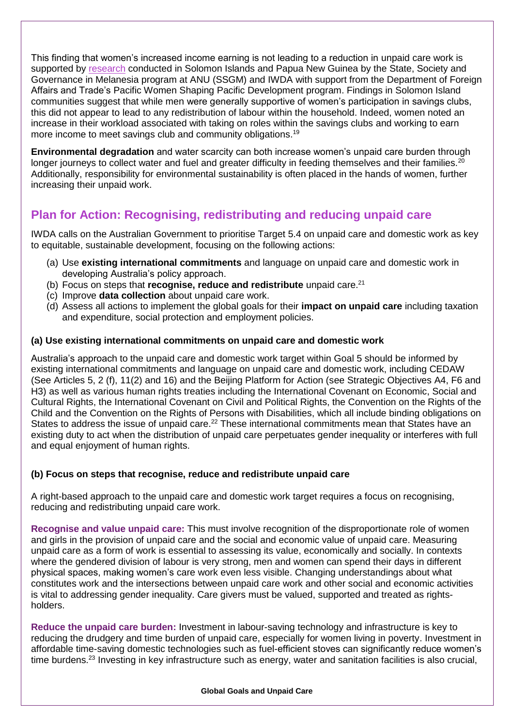This finding that women's increased income earning is not leading to a reduction in unpaid care work is supported by [research](https://www.iwda.org.au/resource/brief-do-no-harm/) conducted in Solomon Islands and Papua New Guinea by the State, Society and Governance in Melanesia program at ANU (SSGM) and IWDA with support from the Department of Foreign Affairs and Trade's [Pacific Women Shaping](http://www.pacificwomen.org/) Pacific Development program. Findings in Solomon Island communities suggest that while men were generally supportive of women's participation in savings clubs, this did not appear to lead to any redistribution of labour within the household. Indeed, women noted an increase in their workload associated with taking on roles within the savings clubs and working to earn more income to meet savings club and community obligations.<sup>19</sup>

**Environmental degradation** and water scarcity can both increase women's unpaid care burden through longer journeys to collect water and fuel and greater difficulty in feeding themselves and their families.<sup>20</sup> Additionally, responsibility for environmental sustainability is often placed in the hands of women, further increasing their unpaid work.

# **Plan for Action: Recognising, redistributing and reducing unpaid care**

IWDA calls on the Australian Government to prioritise Target 5.4 on unpaid care and domestic work as key to equitable, sustainable development, focusing on the following actions:

- (a) Use **existing international commitments** and language on unpaid care and domestic work in developing Australia's policy approach.
- (b) Focus on steps that **recognise, reduce and redistribute** unpaid care.<sup>21</sup>
- (c) Improve **data collection** about unpaid care work.
- (d) Assess all actions to implement the global goals for their **impact on unpaid care** including taxation and expenditure, social protection and employment policies.

## **(a) Use existing international commitments on unpaid care and domestic work**

Australia's approach to the unpaid care and domestic work target within Goal 5 should be informed by existing international commitments and language on unpaid care and domestic work, including CEDAW (See Articles 5, 2 (f), 11(2) and 16) and the Beijing Platform for Action (see Strategic Objectives A4, F6 and H3) as well as various human rights treaties including the International Covenant on Economic, Social and Cultural Rights, the International Covenant on Civil and Political Rights, the Convention on the Rights of the Child and the Convention on the Rights of Persons with Disabilities, which all include binding obligations on States to address the issue of unpaid care.<sup>22</sup> These international commitments mean that States have an existing duty to act when the distribution of unpaid care perpetuates gender inequality or interferes with full and equal enjoyment of human rights.

### **(b) Focus on steps that recognise, reduce and redistribute unpaid care**

A right-based approach to the unpaid care and domestic work target requires a focus on recognising, reducing and redistributing unpaid care work.

**Recognise and value unpaid care:** This must involve recognition of the disproportionate role of women and girls in the provision of unpaid care and the social and economic value of unpaid care. Measuring unpaid care as a form of work is essential to assessing its value, economically and socially. In contexts where the gendered division of labour is very strong, men and women can spend their days in different physical spaces, making women's care work even less visible. Changing understandings about what constitutes work and the intersections between unpaid care work and other social and economic activities is vital to addressing gender inequality. Care givers must be valued, supported and treated as rightsholders.

**Reduce the unpaid care burden:** Investment in labour-saving technology and infrastructure is key to reducing the drudgery and time burden of unpaid care, especially for women living in poverty. Investment in affordable time-saving domestic technologies such as fuel-efficient stoves can significantly reduce women's time burdens.<sup>23</sup> Investing in key infrastructure such as energy, water and sanitation facilities is also crucial,

#### **Global Goals and Unpaid Care**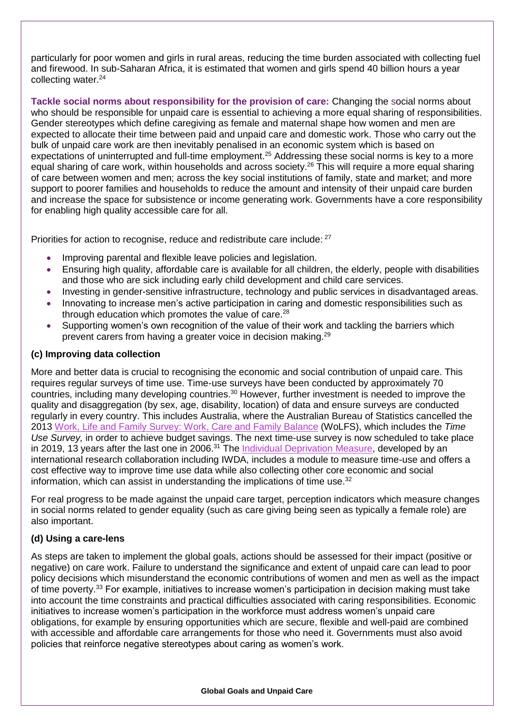particularly for poor women and girls in rural areas, reducing the time burden associated with collecting fuel and firewood. In sub-Saharan Africa, it is estimated that women and girls spend 40 billion hours a year collecting water.<sup>24</sup>

**Tackle social norms about responsibility for the provision of care:** Changing the social norms about who should be responsible for unpaid care is essential to achieving a more equal sharing of responsibilities. Gender stereotypes which define caregiving as female and maternal shape how women and men are expected to allocate their time between paid and unpaid care and domestic work. Those who carry out the bulk of unpaid care work are then inevitably penalised in an economic system which is based on expectations of uninterrupted and full-time employment.<sup>25</sup> Addressing these social norms is key to a more equal sharing of care work, within households and across society.<sup>26</sup> This will require a more equal sharing of care between women and men; across the key social institutions of family, state and market; and more support to poorer families and households to reduce the amount and intensity of their unpaid care burden and increase the space for subsistence or income generating work. Governments have a core responsibility for enabling high quality accessible care for all.

Priorities for action to recognise, reduce and redistribute care include: <sup>27</sup>

- Improving parental and flexible leave policies and legislation.
- Ensuring high quality, affordable care is available for all children, the elderly, people with disabilities and those who are sick including early child development and child care services.
- Investing in gender-sensitive infrastructure, technology and public services in disadvantaged areas.
- Innovating to increase men's active participation in caring and domestic responsibilities such as through education which promotes the value of care.<sup>28</sup>
- Supporting women's own recognition of the value of their work and tackling the barriers which prevent carers from having a greater voice in decision making.<sup>29</sup>

#### **(c) Improving data collection**

More and better data is crucial to recognising the economic and social contribution of unpaid care. This requires regular surveys of time use. Time-use surveys have been conducted by approximately 70 countries, including many developing countries.<sup>30</sup> However, further investment is needed to improve the quality and disaggregation (by sex, age, disability, location) of data and ensure surveys are conducted regularly in every country. This includes Australia, where the Australian Bureau of Statistics cancelled the 2013 [Work, Life and Family Survey: Work, Care and Family Balance](http://www.abs.gov.au/AUSSTATS/abs@.nsf/Lookup/4102.0Main+Features50Sep+2009) (WoLFS), which includes the *Time Use Survey,* in order to achieve budget savings. The next time-use survey is now scheduled to take place in 2019, 13 years after the last one in 2006.<sup>31</sup> The *Individual Deprivation Measure*, developed by an international research collaboration including IWDA, includes a module to measure time-use and offers a cost effective way to improve time use data while also collecting other core economic and social information, which can assist in understanding the implications of time use. $32$ 

For real progress to be made against the unpaid care target, perception indicators which measure changes in social norms related to gender equality (such as care giving being seen as typically a female role) are also important.

#### **(d) Using a care-lens**

As steps are taken to implement the global goals, actions should be assessed for their impact (positive or negative) on care work. Failure to understand the significance and extent of unpaid care can lead to poor policy decisions which misunderstand the economic contributions of women and men as well as the impact of time poverty.<sup>33</sup> For example, initiatives to increase women's participation in decision making must take into account the time constraints and practical difficulties associated with caring responsibilities. Economic initiatives to increase women's participation in the workforce must address women's unpaid care obligations, for example by ensuring opportunities which are secure, flexible and well-paid are combined with accessible and affordable care arrangements for those who need it. Governments must also avoid policies that reinforce negative stereotypes about caring as women's work.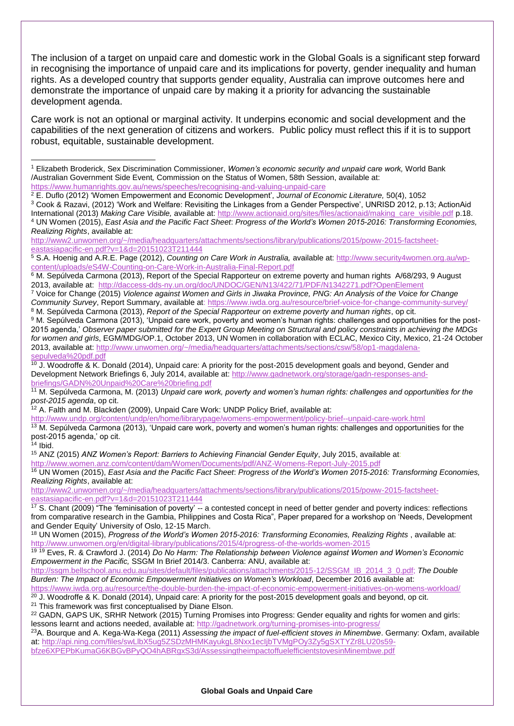The inclusion of a target on unpaid care and domestic work in the Global Goals is a significant step forward in recognising the importance of unpaid care and its implications for poverty, gender inequality and human rights. As a developed country that supports gender equality, Australia can improve outcomes here and demonstrate the importance of unpaid care by making it a priority for advancing the sustainable development agenda.

Care work is not an optional or marginal activity. It underpins economic and social development and the capabilities of the next generation of citizens and workers. Public policy must reflect this if it is to support robust, equitable, sustainable development.

- <sup>2</sup> E. Duflo (2012) 'Women Empowerment and Economic Development', *Journal of Economic Literature,* 50(4), 1052
- <sup>3</sup> Cook & Razavi, (2012) 'Work and Welfare: Revisiting the Linkages from a Gender Perspective', UNRISD 2012, p.13; ActionAid International (2013) *Making Care Visible,* available at: [http://www.actionaid.org/sites/files/actionaid/making\\_care\\_visible.pdf](http://www.actionaid.org/sites/files/actionaid/making_care_visible.pdf) p.18. <sup>4</sup> UN Women (2015), *East Asia and the Pacific Fact Sheet*: *Progress of the World's Women 2015-2016: Transforming Economies, Realizing Rights*, available at:

[http://www2.unwomen.org/~/media/headquarters/attachments/sections/library/publications/2015/poww-2015-factsheet](http://www2.unwomen.org/~/media/headquarters/attachments/sections/library/publications/2015/poww-2015-factsheet-eastasiapacific-en.pdf?v=1&d=20151023T211444)[eastasiapacific-en.pdf?v=1&d=20151023T211444](http://www2.unwomen.org/~/media/headquarters/attachments/sections/library/publications/2015/poww-2015-factsheet-eastasiapacific-en.pdf?v=1&d=20151023T211444)

<sup>5</sup> S.A. Hoenig and A.R.E. Page (2012), *Counting on Care Work in Australia,* available at[: http://www.security4women.org.au/wp](http://www.security4women.org.au/wp-content/uploads/eS4W-Counting-on-Care-Work-in-Australia-Final-Report.pdf)[content/uploads/eS4W-Counting-on-Care-Work-in-Australia-Final-Report.pdf](http://www.security4women.org.au/wp-content/uploads/eS4W-Counting-on-Care-Work-in-Australia-Final-Report.pdf)

 $6$  M. Sepúlveda Carmona (2013), Report of the Special Rapporteur on extreme poverty and human rights A/68/293, 9 August 2013, available at: <http://daccess-dds-ny.un.org/doc/UNDOC/GEN/N13/422/71/PDF/N1342271.pdf?OpenElement>

<sup>10</sup> J. Woodroffe & K. Donald (2014), Unpaid care: A priority for the post-2015 development goals and beyond, Gender and Development Network Briefings 6, July 2014, available at[: http://www.gadnetwork.org/storage/gadn-responses-and](http://www.gadnetwork.org/storage/gadn-responses-and-briefings/GADN%20Unpaid%20Care%20briefing.pdf)[briefings/GADN%20Unpaid%20Care%20briefing.pdf](http://www.gadnetwork.org/storage/gadn-responses-and-briefings/GADN%20Unpaid%20Care%20briefing.pdf)

 $12$  A. Falth and M. Blackden (2009), Unpaid Care Work: UNDP Policy Brief, available at:

<http://www.undp.org/content/undp/en/home/librarypage/womens-empowerment/policy-brief--unpaid-care-work.html> <sup>13</sup> M. Sepúlveda Carmona (2013), 'Unpaid care work, poverty and women's human rights: challenges and opportunities for the post-2015 agenda,' op cit.

<sup>14</sup> Ibid.

<sup>15</sup> ANZ (2015) *ANZ Women's Report: Barriers to Achieving Financial Gender Equity*, July 2015, available at: <http://www.women.anz.com/content/dam/Women/Documents/pdf/ANZ-Womens-Report-July-2015.pdf>

<sup>16</sup> UN Women (2015), *East Asia and the Pacific Fact Sheet*: *Progress of the World's Women 2015-2016: Transforming Economies, Realizing Rights*, available at:

[http://www2.unwomen.org/~/media/headquarters/attachments/sections/library/publications/2015/poww-2015-factsheet](http://www2.unwomen.org/~/media/headquarters/attachments/sections/library/publications/2015/poww-2015-factsheet-eastasiapacific-en.pdf?v=1&d=20151023T211444)[eastasiapacific-en.pdf?v=1&d=20151023T211444](http://www2.unwomen.org/~/media/headquarters/attachments/sections/library/publications/2015/poww-2015-factsheet-eastasiapacific-en.pdf?v=1&d=20151023T211444)

<sup>17</sup> S. Chant (2009) "The 'feminisation of poverty' -- a contested concept in need of better gender and poverty indices: reflections from comparative research in the Gambia, Philippines and Costa Rica", Paper prepared for a workshop on 'Needs, Development and Gender Equity' University of Oslo, 12-15 March.

<sup>18</sup> UN Women (2015), *Progress of the World's Women 2015-2016: Transforming Economies, Realizing Rights* , available at: <http://www.unwomen.org/en/digital-library/publications/2015/4/progress-of-the-worlds-women-2015>

<sup>19</sup> <sup>19</sup> Eves, R. & Crawford J. (2014) *Do No Harm: The Relationship between Violence against Women and Women's Economic Empowerment in the Pacific,* SSGM In Brief 2014/3. Canberra: ANU, available at:

[http://ssgm.bellschool.anu.edu.au/sites/default/files/publications/attachments/2015-12/SSGM\\_IB\\_2014\\_3\\_0.pdf;](http://ssgm.bellschool.anu.edu.au/sites/default/files/publications/attachments/2015-12/SSGM_IB_2014_3_0.pdf) *The Double Burden: The Impact of Economic Empowerment Initiatives on Women's Workload*, December 2016 available at:

<https://www.iwda.org.au/resource/the-double-burden-the-impact-of-economic-empowerment-initiatives-on-womens-workload/>  $20$  J. Woodroffe & K. Donald (2014), Unpaid care: A priority for the post-2015 development goals and beyond, op cit. <sup>21</sup> This framework was first conceptualised by Diane Elson.

<sup>22</sup> GADN, GAPS UK, SRHR Network (2015) Turning Promises into Progress: Gender equality and rights for women and girls: lessons learnt and actions needed, available at:<http://gadnetwork.org/turning-promises-into-progress/>

<sup>23</sup>A. Bourque and A. Kega-Wa-Kega (2011) *Assessing the impact of fuel-efficient stoves in Minembwe*. Germany: Oxfam, available at[: http://api.ning.com/files/swLlbX5ug5ZSDzMHMKayukgL8Nxx1ecIjbTVMgPOy3Zy5gSXTYZr8LU20s59](http://api.ning.com/files/swLlbX5ug5ZSDzMHMKayukgL8Nxx1ecIjbTVMgPOy3Zy5gSXTYZr8LU20s59-bfze6XPEPbKumaG6KBGvBPyQO4hABRgxS3d/AssessingtheimpactoffuelefficientstovesinMinembwe.pdf) [bfze6XPEPbKumaG6KBGvBPyQO4hABRgxS3d/AssessingtheimpactoffuelefficientstovesinMinembwe.pdf](http://api.ning.com/files/swLlbX5ug5ZSDzMHMKayukgL8Nxx1ecIjbTVMgPOy3Zy5gSXTYZr8LU20s59-bfze6XPEPbKumaG6KBGvBPyQO4hABRgxS3d/AssessingtheimpactoffuelefficientstovesinMinembwe.pdf) 

**Global Goals and Unpaid Care**

<sup>1</sup> Elizabeth Broderick, Sex Discrimination Commissioner, *Women's economic security and unpaid care work,* World Bank /Australian Government Side Event*,* Commission on the Status of Women, 58th Session, available at: <https://www.humanrights.gov.au/news/speeches/recognising-and-valuing-unpaid-care> -

<sup>7</sup> Voice for Change (2015) *Violence against Women and Girls in Jiwaka Province, PNG: An Analysis of the Voice for Change Community Survey*, Report Summary, available at[: https://www.iwda.org.au/resource/brief-voice-for-change-community-survey/](https://www.iwda.org.au/resource/brief-voice-for-change-community-survey/) <sup>8</sup> M. Sepúlveda Carmona (2013), *Report of the Special Rapporteur on extreme poverty and human rights*, op cit.

<sup>9</sup> M. Sepúlveda Carmona (2013), 'Unpaid care work, poverty and women's human rights: challenges and opportunities for the post-2015 agenda,' *Observer paper submitted for the Expert Group Meeting on Structural and policy constraints in achieving the MDGs for women and girls*, EGM/MDG/OP.1, October 2013, UN Women in collaboration with ECLAC, Mexico City, Mexico, 21-24 October 2013, available at[: http://www.unwomen.org/~/media/headquarters/attachments/sections/csw/58/op1-magdalena](http://www.unwomen.org/~/media/headquarters/attachments/sections/csw/58/op1-magdalena-sepulveda%20pdf.pdf)[sepulveda%20pdf.pdf](http://www.unwomen.org/~/media/headquarters/attachments/sections/csw/58/op1-magdalena-sepulveda%20pdf.pdf)

<sup>11</sup> M. Sepúlveda Carmona, M. (2013) *Unpaid care work, poverty and women's human rights: challenges and opportunities for the post-2015 agenda*, op cit.